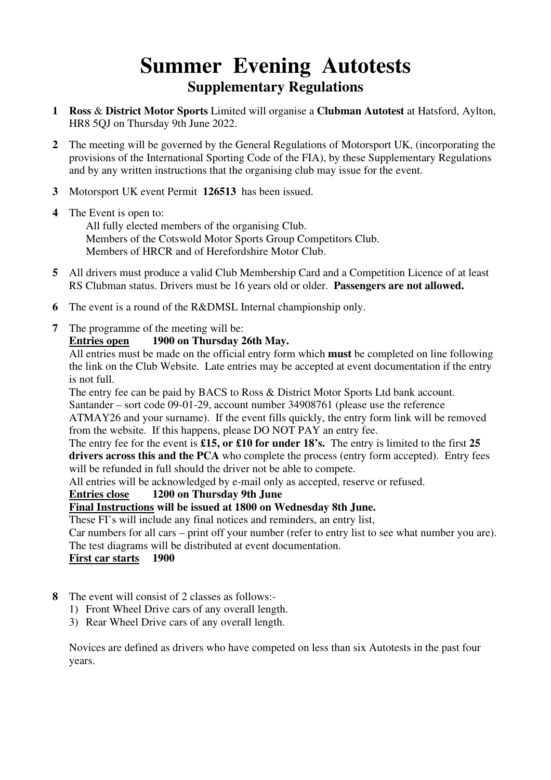# **Summer Evening Autotests Supplementary Regulations**

- **1 Ross** & **District Motor Sports** Limited will organise a **Clubman Autotest** at Hatsford, Aylton, HR8 5QJ on Thursday 9th June 2022.
- **2** The meeting will be governed by the General Regulations of Motorsport UK, (incorporating the provisions of the International Sporting Code of the FIA), by these Supplementary Regulations and by any written instructions that the organising club may issue for the event.
- **3** Motorsport UK event Permit **126513** has been issued.
- **4** The Event is open to:

 All fully elected members of the organising Club. Members of the Cotswold Motor Sports Group Competitors Club. Members of HRCR and of Herefordshire Motor Club.

- **5** All drivers must produce a valid Club Membership Card and a Competition Licence of at least RS Clubman status. Drivers must be 16 years old or older. **Passengers are not allowed.**
- **6** The event is a round of the R&DMSL Internal championship only.
- **7** The programme of the meeting will be:

#### **Entries open 1900 on Thursday 26th May.**

All entries must be made on the official entry form which **must** be completed on line following the link on the Club Website. Late entries may be accepted at event documentation if the entry is not full.

The entry fee can be paid by BACS to Ross & District Motor Sports Ltd bank account.

Santander – sort code 09-01-29, account number 34908761 (please use the reference ATMAY26 and your surname). If the event fills quickly, the entry form link will be removed

from the website. If this happens, please DO NOT PAY an entry fee. The entry fee for the event is **£15, or £10 for under 18's.** The entry is limited to the first **25** 

**drivers across this and the PCA** who complete the process (entry form accepted). Entry fees will be refunded in full should the driver not be able to compete.

All entries will be acknowledged by e-mail only as accepted, reserve or refused.

#### **Entries close 1200 on Thursday 9th June**

### **Final Instructions will be issued at 1800 on Wednesday 8th June.**

These FI's will include any final notices and reminders, an entry list,

Car numbers for all cars – print off your number (refer to entry list to see what number you are). The test diagrams will be distributed at event documentation.

 **First car starts 1900**

- **8** The event will consist of 2 classes as follows:-
	- 1) Front Wheel Drive cars of any overall length.
	- 3) Rear Wheel Drive cars of any overall length.

 Novices are defined as drivers who have competed on less than six Autotests in the past four years.